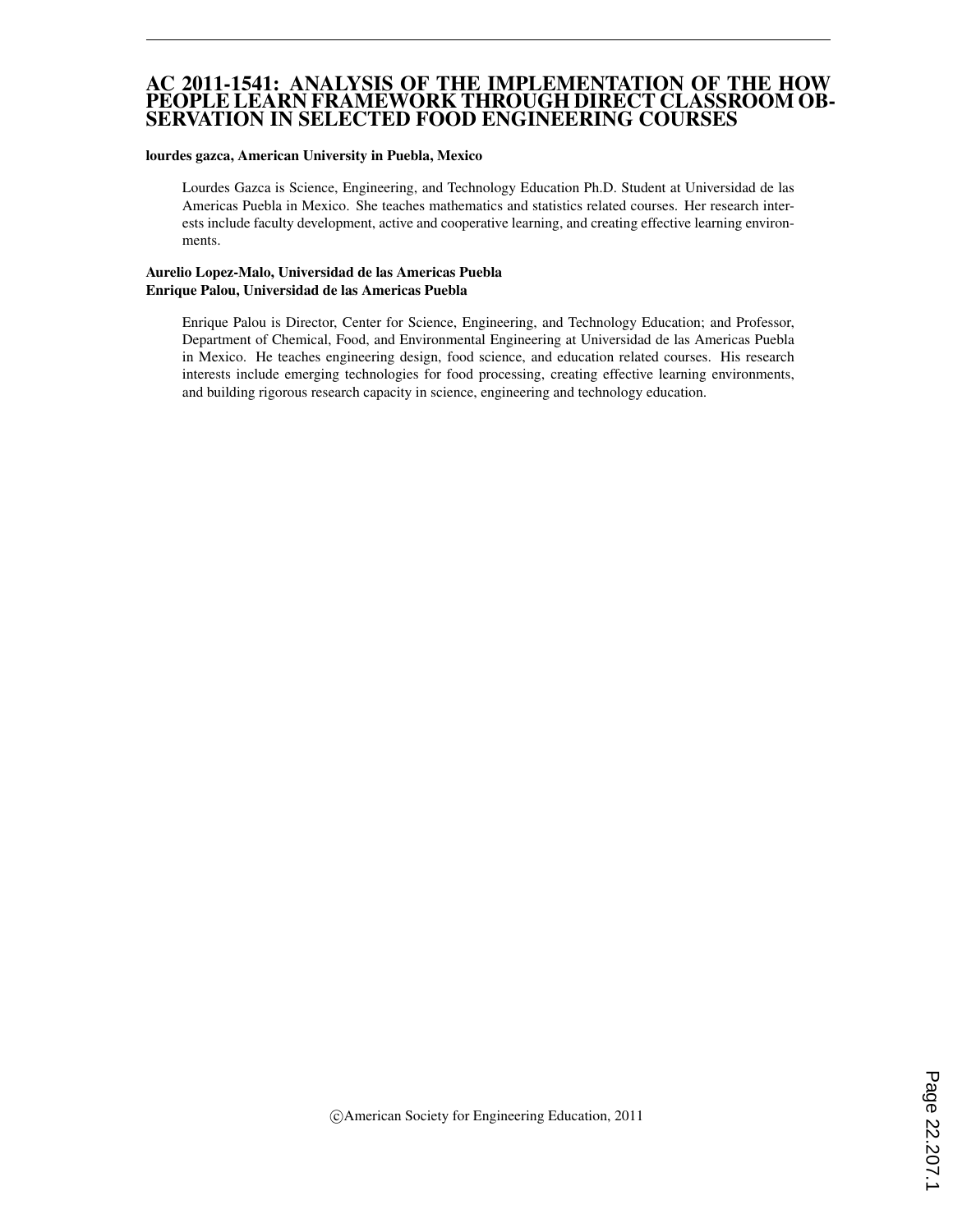### AC 2011-1541: ANALYSIS OF THE IMPLEMENTATION OF THE HOW PEOPLE LEARN FRAMEWORK THROUGH DIRECT CLASSROOM OB-SERVATION IN SELECTED FOOD ENGINEERING COURSES

#### lourdes gazca, American University in Puebla, Mexico

Lourdes Gazca is Science, Engineering, and Technology Education Ph.D. Student at Universidad de las Americas Puebla in Mexico. She teaches mathematics and statistics related courses. Her research interests include faculty development, active and cooperative learning, and creating effective learning environments.

#### Aurelio Lopez-Malo, Universidad de las Americas Puebla Enrique Palou, Universidad de las Americas Puebla

Enrique Palou is Director, Center for Science, Engineering, and Technology Education; and Professor, Department of Chemical, Food, and Environmental Engineering at Universidad de las Americas Puebla in Mexico. He teaches engineering design, food science, and education related courses. His research interests include emerging technologies for food processing, creating effective learning environments, and building rigorous research capacity in science, engineering and technology education.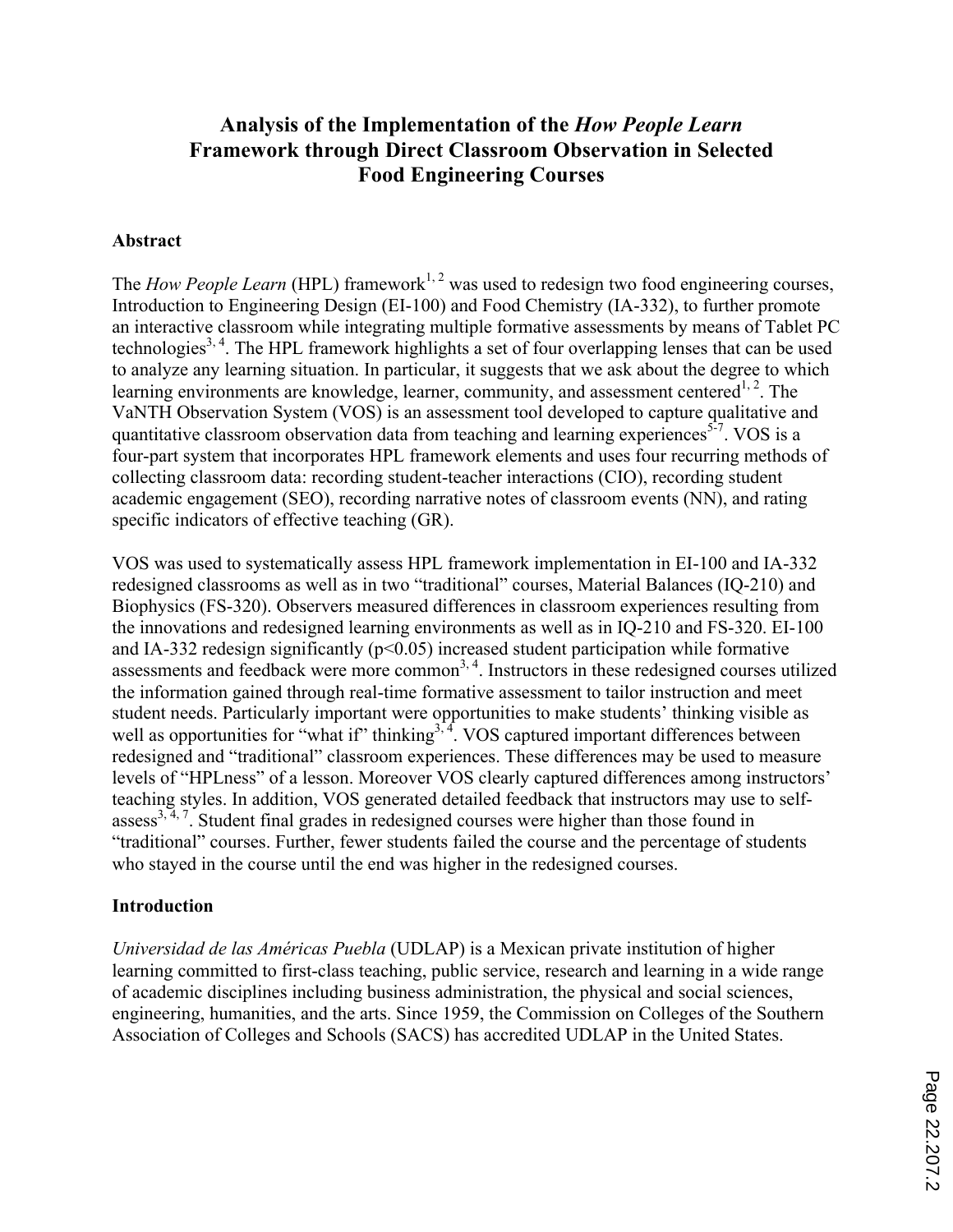# **Analysis of the Implementation of the** *How People Learn* **Framework through Direct Classroom Observation in Selected Food Engineering Courses**

## **Abstract**

The *How People Learn* (HPL) framework<sup>1, 2</sup> was used to redesign two food engineering courses, Introduction to Engineering Design (EI-100) and Food Chemistry (IA-332), to further promote an interactive classroom while integrating multiple formative assessments by means of Tablet PC technologies<sup>3, 4</sup>. The HPL framework highlights a set of four overlapping lenses that can be used to analyze any learning situation. In particular, it suggests that we ask about the degree to which learning environments are knowledge, learner, community, and assessment centered<sup>1, 2</sup>. The VaNTH Observation System (VOS) is an assessment tool developed to capture qualitative and quantitative classroom observation data from teaching and learning experiences<sup>5-7</sup>. VOS is a four-part system that incorporates HPL framework elements and uses four recurring methods of collecting classroom data: recording student-teacher interactions (CIO), recording student academic engagement (SEO), recording narrative notes of classroom events (NN), and rating specific indicators of effective teaching (GR).

VOS was used to systematically assess HPL framework implementation in EI-100 and IA-332 redesigned classrooms as well as in two "traditional" courses, Material Balances (IQ-210) and Biophysics (FS-320). Observers measured differences in classroom experiences resulting from the innovations and redesigned learning environments as well as in IQ-210 and FS-320. EI-100 and IA-332 redesign significantly  $(p<0.05)$  increased student participation while formative assessments and feedback were more common<sup>3, 4</sup>. Instructors in these redesigned courses utilized the information gained through real-time formative assessment to tailor instruction and meet student needs. Particularly important were opportunities to make students' thinking visible as well as opportunities for "what if" thinking<sup>3, 4</sup>. VOS captured important differences between redesigned and "traditional" classroom experiences. These differences may be used to measure levels of "HPLness" of a lesson. Moreover VOS clearly captured differences among instructors' teaching styles. In addition, VOS generated detailed feedback that instructors may use to self $assess<sup>3, 4, 7</sup>$ . Student final grades in redesigned courses were higher than those found in "traditional" courses. Further, fewer students failed the course and the percentage of students who stayed in the course until the end was higher in the redesigned courses.

## **Introduction**

*Universidad de las Américas Puebla* (UDLAP) is a Mexican private institution of higher learning committed to first-class teaching, public service, research and learning in a wide range of academic disciplines including business administration, the physical and social sciences, engineering, humanities, and the arts. Since 1959, the Commission on Colleges of the Southern Association of Colleges and Schools (SACS) has accredited UDLAP in the United States.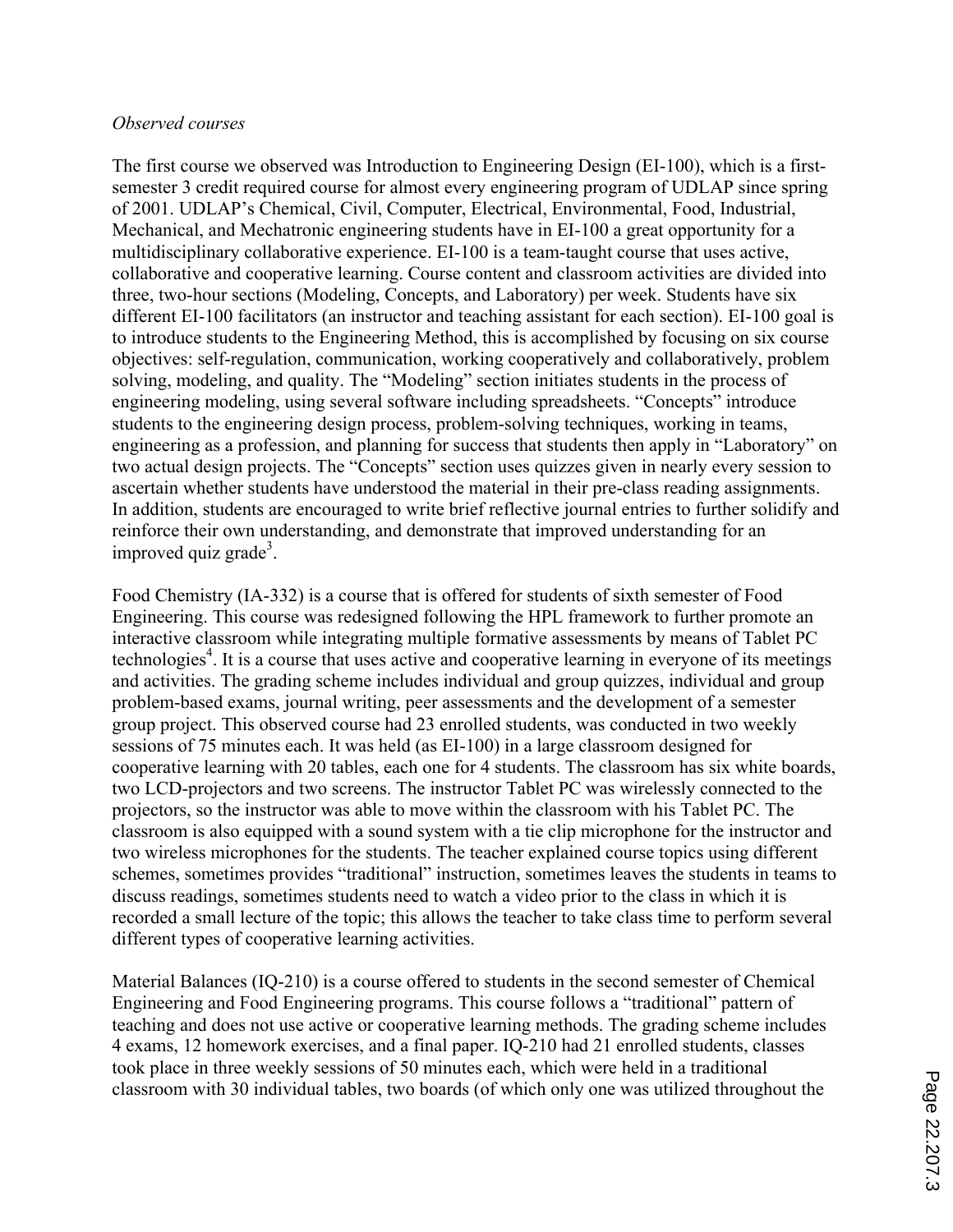## *Observed courses*

The first course we observed was Introduction to Engineering Design (EI-100), which is a firstsemester 3 credit required course for almost every engineering program of UDLAP since spring of 2001. UDLAP's Chemical, Civil, Computer, Electrical, Environmental, Food, Industrial, Mechanical, and Mechatronic engineering students have in EI-100 a great opportunity for a multidisciplinary collaborative experience. EI-100 is a team-taught course that uses active, collaborative and cooperative learning. Course content and classroom activities are divided into three, two-hour sections (Modeling, Concepts, and Laboratory) per week. Students have six different EI-100 facilitators (an instructor and teaching assistant for each section). EI-100 goal is to introduce students to the Engineering Method, this is accomplished by focusing on six course objectives: self-regulation, communication, working cooperatively and collaboratively, problem solving, modeling, and quality. The "Modeling" section initiates students in the process of engineering modeling, using several software including spreadsheets. "Concepts" introduce students to the engineering design process, problem-solving techniques, working in teams, engineering as a profession, and planning for success that students then apply in "Laboratory" on two actual design projects. The "Concepts" section uses quizzes given in nearly every session to ascertain whether students have understood the material in their pre-class reading assignments. In addition, students are encouraged to write brief reflective journal entries to further solidify and reinforce their own understanding, and demonstrate that improved understanding for an improved quiz grade<sup>3</sup>.

Food Chemistry (IA-332) is a course that is offered for students of sixth semester of Food Engineering. This course was redesigned following the HPL framework to further promote an interactive classroom while integrating multiple formative assessments by means of Tablet PC technologies<sup>4</sup>. It is a course that uses active and cooperative learning in everyone of its meetings and activities. The grading scheme includes individual and group quizzes, individual and group problem-based exams, journal writing, peer assessments and the development of a semester group project. This observed course had 23 enrolled students, was conducted in two weekly sessions of 75 minutes each. It was held (as EI-100) in a large classroom designed for cooperative learning with 20 tables, each one for 4 students. The classroom has six white boards, two LCD-projectors and two screens. The instructor Tablet PC was wirelessly connected to the projectors, so the instructor was able to move within the classroom with his Tablet PC. The classroom is also equipped with a sound system with a tie clip microphone for the instructor and two wireless microphones for the students. The teacher explained course topics using different schemes, sometimes provides "traditional" instruction, sometimes leaves the students in teams to discuss readings, sometimes students need to watch a video prior to the class in which it is recorded a small lecture of the topic; this allows the teacher to take class time to perform several different types of cooperative learning activities.

Material Balances (IQ-210) is a course offered to students in the second semester of Chemical Engineering and Food Engineering programs. This course follows a "traditional" pattern of teaching and does not use active or cooperative learning methods. The grading scheme includes 4 exams, 12 homework exercises, and a final paper. IQ-210 had 21 enrolled students, classes took place in three weekly sessions of 50 minutes each, which were held in a traditional classroom with 30 individual tables, two boards (of which only one was utilized throughout the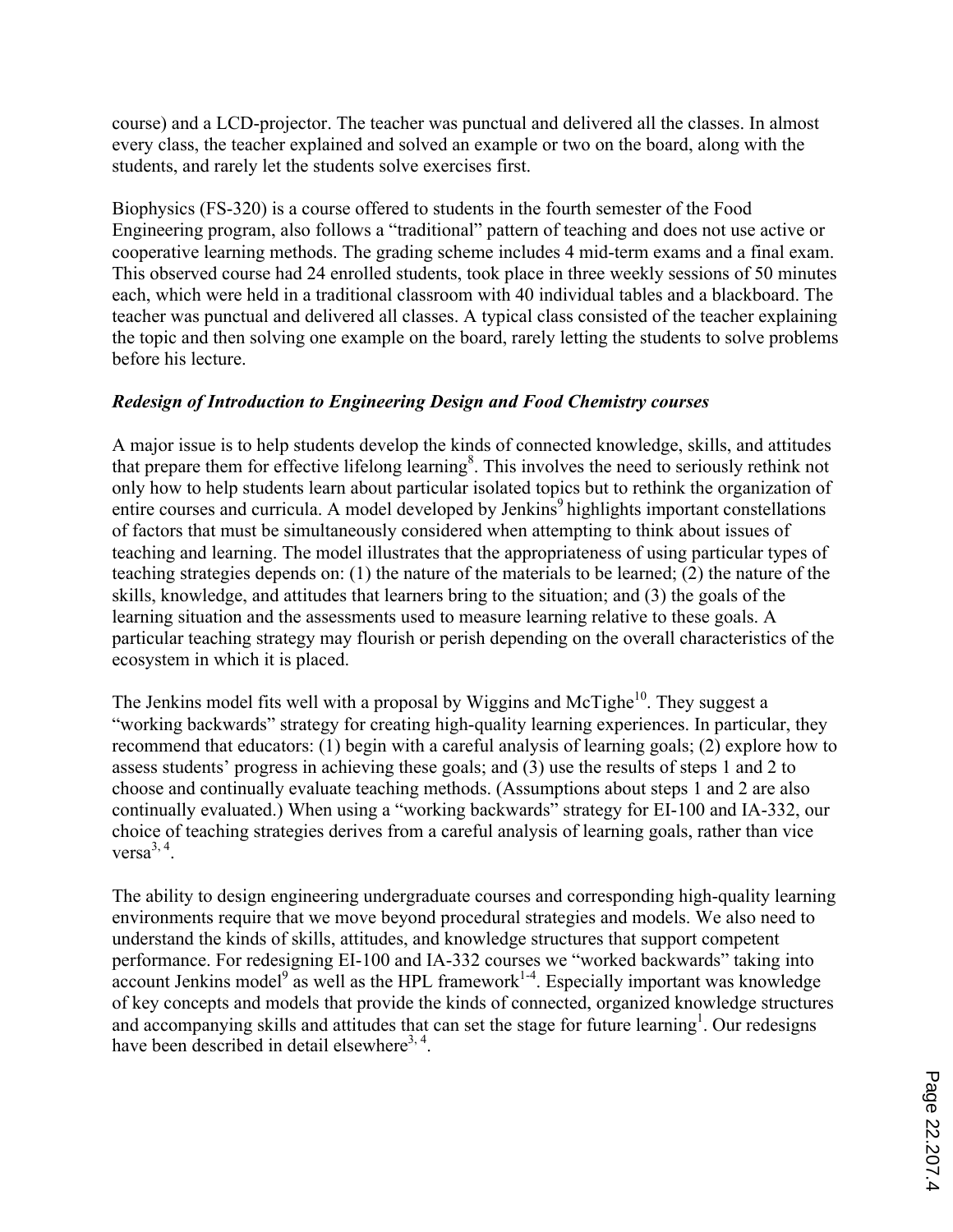course) and a LCD-projector. The teacher was punctual and delivered all the classes. In almost every class, the teacher explained and solved an example or two on the board, along with the students, and rarely let the students solve exercises first.

Biophysics (FS-320) is a course offered to students in the fourth semester of the Food Engineering program, also follows a "traditional" pattern of teaching and does not use active or cooperative learning methods. The grading scheme includes 4 mid-term exams and a final exam. This observed course had 24 enrolled students, took place in three weekly sessions of 50 minutes each, which were held in a traditional classroom with 40 individual tables and a blackboard. The teacher was punctual and delivered all classes. A typical class consisted of the teacher explaining the topic and then solving one example on the board, rarely letting the students to solve problems before his lecture.

# *Redesign of Introduction to Engineering Design and Food Chemistry courses*

A major issue is to help students develop the kinds of connected knowledge, skills, and attitudes that prepare them for effective lifelong learning<sup>8</sup>. This involves the need to seriously rethink not only how to help students learn about particular isolated topics but to rethink the organization of entire courses and curricula. A model developed by Jenkins<sup>9</sup> highlights important constellations of factors that must be simultaneously considered when attempting to think about issues of teaching and learning. The model illustrates that the appropriateness of using particular types of teaching strategies depends on: (1) the nature of the materials to be learned; (2) the nature of the skills, knowledge, and attitudes that learners bring to the situation; and (3) the goals of the learning situation and the assessments used to measure learning relative to these goals. A particular teaching strategy may flourish or perish depending on the overall characteristics of the ecosystem in which it is placed.

The Jenkins model fits well with a proposal by Wiggins and McTighe<sup>10</sup>. They suggest a "working backwards" strategy for creating high-quality learning experiences. In particular, they recommend that educators: (1) begin with a careful analysis of learning goals; (2) explore how to assess students' progress in achieving these goals; and (3) use the results of steps 1 and 2 to choose and continually evaluate teaching methods. (Assumptions about steps 1 and 2 are also continually evaluated.) When using a "working backwards" strategy for EI-100 and IA-332, our choice of teaching strategies derives from a careful analysis of learning goals, rather than vice versa $^{3, 4}$ .

The ability to design engineering undergraduate courses and corresponding high-quality learning environments require that we move beyond procedural strategies and models. We also need to understand the kinds of skills, attitudes, and knowledge structures that support competent performance. For redesigning EI-100 and IA-332 courses we "worked backwards" taking into  $\alpha$  account Jenkins model<sup>9</sup> as well as the HPL framework<sup>1-4</sup>. Especially important was knowledge of key concepts and models that provide the kinds of connected, organized knowledge structures and accompanying skills and attitudes that can set the stage for future learning<sup>1</sup>. Our redesigns have been described in detail elsewhere<sup>3, 4</sup>.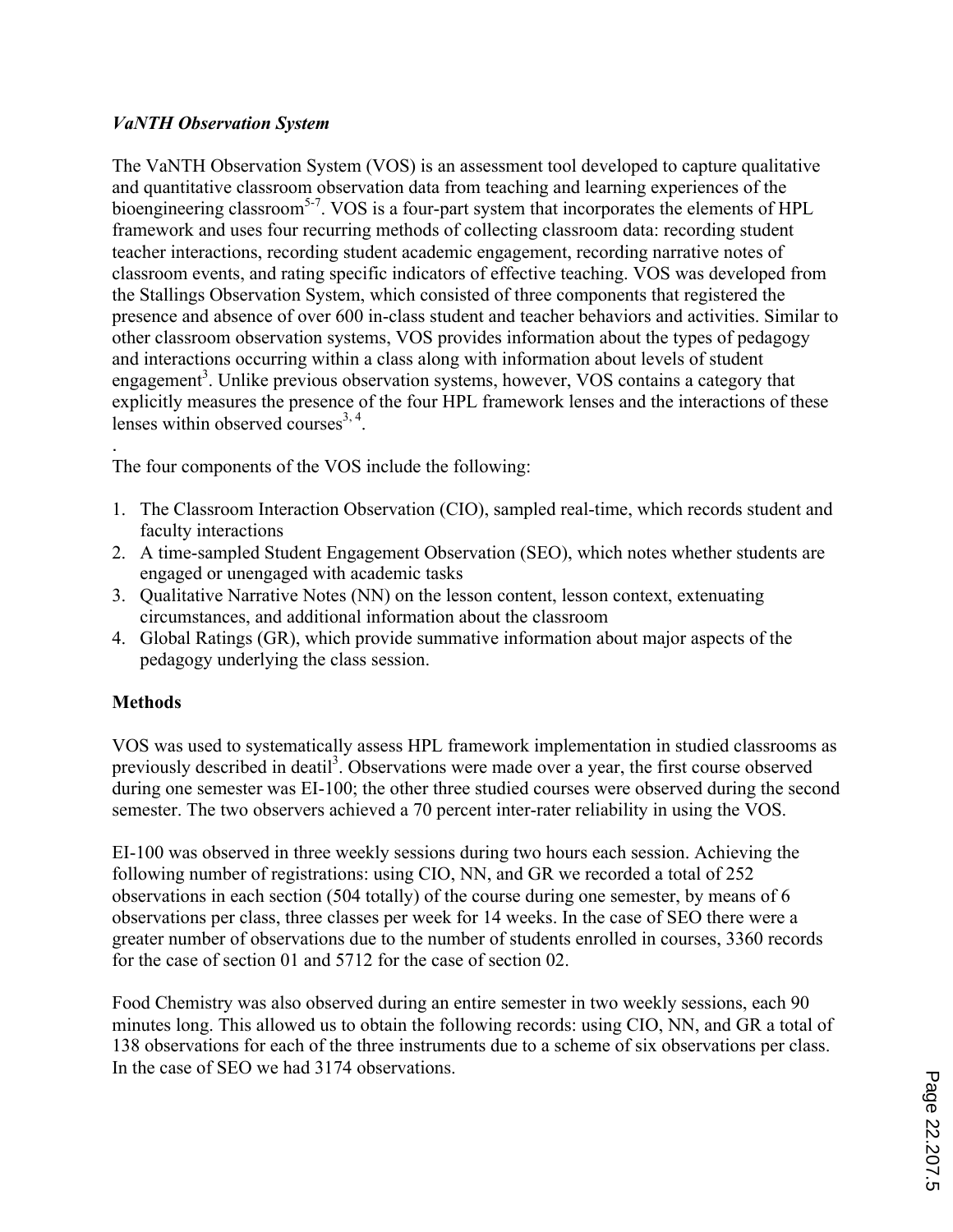## *VaNTH Observation System*

The VaNTH Observation System (VOS) is an assessment tool developed to capture qualitative and quantitative classroom observation data from teaching and learning experiences of the bioengineering classroom<sup>5-7</sup>. VOS is a four-part system that incorporates the elements of HPL framework and uses four recurring methods of collecting classroom data: recording student teacher interactions, recording student academic engagement, recording narrative notes of classroom events, and rating specific indicators of effective teaching. VOS was developed from the Stallings Observation System, which consisted of three components that registered the presence and absence of over 600 in-class student and teacher behaviors and activities. Similar to other classroom observation systems, VOS provides information about the types of pedagogy and interactions occurring within a class along with information about levels of student engagement<sup>3</sup>. Unlike previous observation systems, however, VOS contains a category that explicitly measures the presence of the four HPL framework lenses and the interactions of these lenses within observed courses $^{3,4}$ .

. The four components of the VOS include the following:

- 1. The Classroom Interaction Observation (CIO), sampled real-time, which records student and faculty interactions
- 2. A time-sampled Student Engagement Observation (SEO), which notes whether students are engaged or unengaged with academic tasks
- 3. Qualitative Narrative Notes (NN) on the lesson content, lesson context, extenuating circumstances, and additional information about the classroom
- 4. Global Ratings (GR), which provide summative information about major aspects of the pedagogy underlying the class session.

# **Methods**

VOS was used to systematically assess HPL framework implementation in studied classrooms as previously described in deatil<sup>3</sup>. Observations were made over a year, the first course observed during one semester was EI-100; the other three studied courses were observed during the second semester. The two observers achieved a 70 percent inter-rater reliability in using the VOS.

EI-100 was observed in three weekly sessions during two hours each session. Achieving the following number of registrations: using CIO, NN, and GR we recorded a total of 252 observations in each section (504 totally) of the course during one semester, by means of 6 observations per class, three classes per week for 14 weeks. In the case of SEO there were a greater number of observations due to the number of students enrolled in courses, 3360 records for the case of section 01 and 5712 for the case of section 02.

Food Chemistry was also observed during an entire semester in two weekly sessions, each 90 minutes long. This allowed us to obtain the following records: using CIO, NN, and GR a total of 138 observations for each of the three instruments due to a scheme of six observations per class. In the case of SEO we had 3174 observations.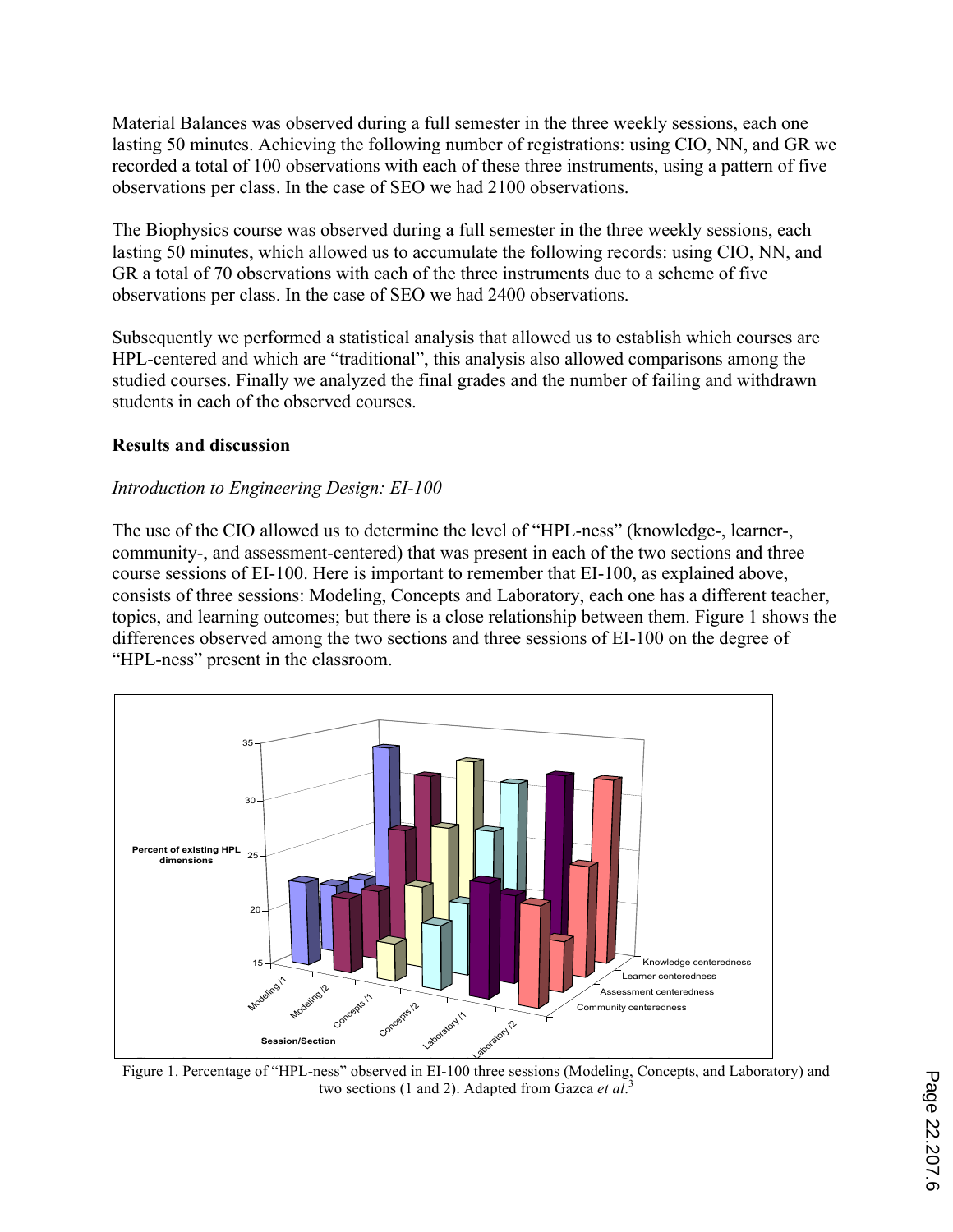Material Balances was observed during a full semester in the three weekly sessions, each one lasting 50 minutes. Achieving the following number of registrations: using CIO, NN, and GR we recorded a total of 100 observations with each of these three instruments, using a pattern of five observations per class. In the case of SEO we had 2100 observations.

The Biophysics course was observed during a full semester in the three weekly sessions, each lasting 50 minutes, which allowed us to accumulate the following records: using CIO, NN, and GR a total of 70 observations with each of the three instruments due to a scheme of five observations per class. In the case of SEO we had 2400 observations.

Subsequently we performed a statistical analysis that allowed us to establish which courses are HPL-centered and which are "traditional", this analysis also allowed comparisons among the studied courses. Finally we analyzed the final grades and the number of failing and withdrawn students in each of the observed courses.

## **Results and discussion**

## *Introduction to Engineering Design: EI-100*

The use of the CIO allowed us to determine the level of "HPL-ness" (knowledge-, learner-, community-, and assessment-centered) that was present in each of the two sections and three course sessions of EI-100. Here is important to remember that EI-100, as explained above, consists of three sessions: Modeling, Concepts and Laboratory, each one has a different teacher, topics, and learning outcomes; but there is a close relationship between them. Figure 1 shows the differences observed among the two sections and three sessions of EI-100 on the degree of "HPL-ness" present in the classroom.



Figure 1. Percentage of "HPL-ness" observed in EI-100 three sessions (Modeling, Concepts, and Laboratory) and two sections (1 and 2). Adapted from Gazca *et al*. 3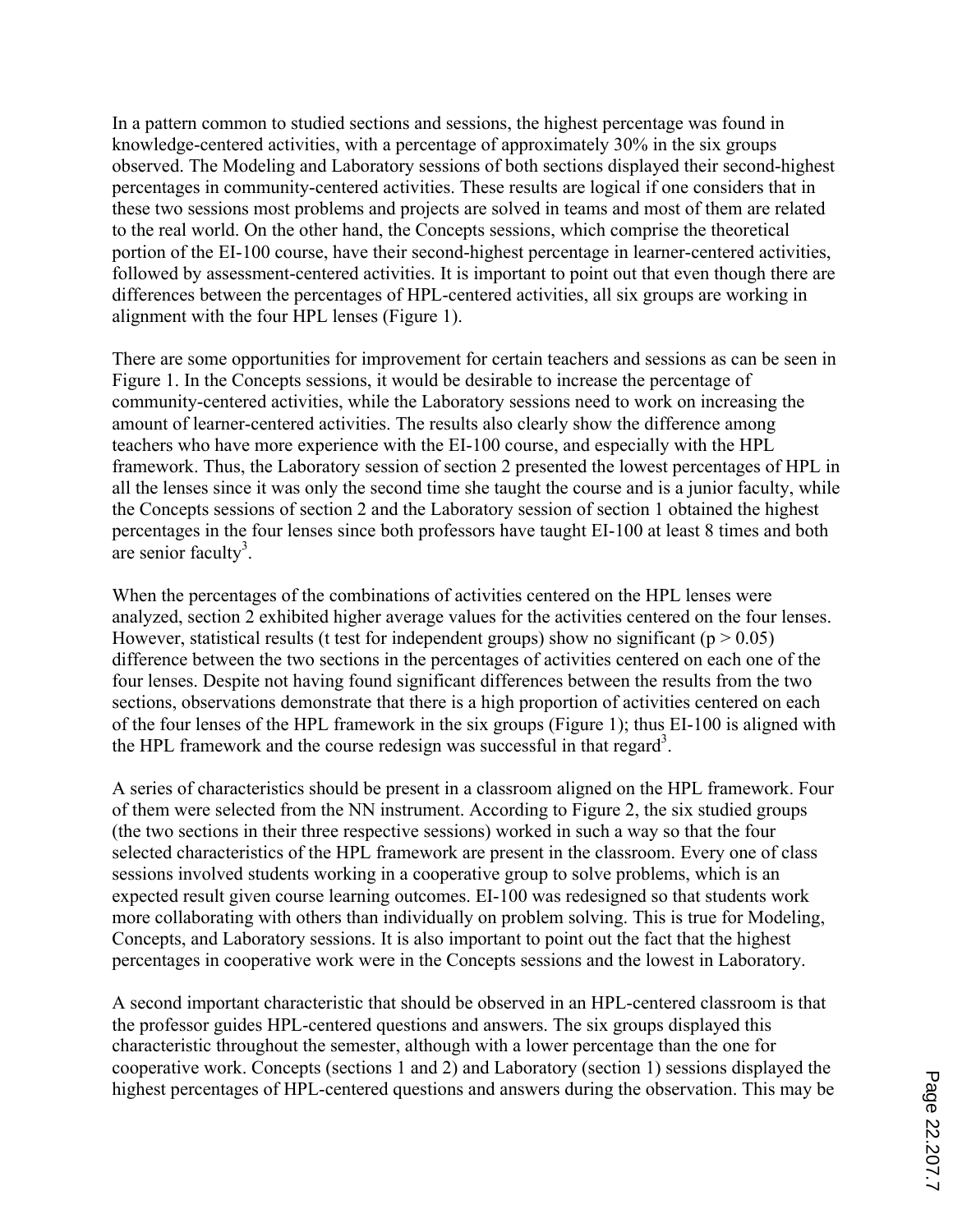In a pattern common to studied sections and sessions, the highest percentage was found in knowledge-centered activities, with a percentage of approximately 30% in the six groups observed. The Modeling and Laboratory sessions of both sections displayed their second-highest percentages in community-centered activities. These results are logical if one considers that in these two sessions most problems and projects are solved in teams and most of them are related to the real world. On the other hand, the Concepts sessions, which comprise the theoretical portion of the EI-100 course, have their second-highest percentage in learner-centered activities, followed by assessment-centered activities. It is important to point out that even though there are differences between the percentages of HPL-centered activities, all six groups are working in alignment with the four HPL lenses (Figure 1).

There are some opportunities for improvement for certain teachers and sessions as can be seen in Figure 1. In the Concepts sessions, it would be desirable to increase the percentage of community-centered activities, while the Laboratory sessions need to work on increasing the amount of learner-centered activities. The results also clearly show the difference among teachers who have more experience with the EI-100 course, and especially with the HPL framework. Thus, the Laboratory session of section 2 presented the lowest percentages of HPL in all the lenses since it was only the second time she taught the course and is a junior faculty, while the Concepts sessions of section 2 and the Laboratory session of section 1 obtained the highest percentages in the four lenses since both professors have taught EI-100 at least 8 times and both are senior faculty<sup>3</sup>.

When the percentages of the combinations of activities centered on the HPL lenses were analyzed, section 2 exhibited higher average values for the activities centered on the four lenses. However, statistical results (t test for independent groups) show no significant ( $p > 0.05$ ) difference between the two sections in the percentages of activities centered on each one of the four lenses. Despite not having found significant differences between the results from the two sections, observations demonstrate that there is a high proportion of activities centered on each of the four lenses of the HPL framework in the six groups (Figure 1); thus EI-100 is aligned with the HPL framework and the course redesign was successful in that regard<sup>3</sup>.

A series of characteristics should be present in a classroom aligned on the HPL framework. Four of them were selected from the NN instrument. According to Figure 2, the six studied groups (the two sections in their three respective sessions) worked in such a way so that the four selected characteristics of the HPL framework are present in the classroom. Every one of class sessions involved students working in a cooperative group to solve problems, which is an expected result given course learning outcomes. EI-100 was redesigned so that students work more collaborating with others than individually on problem solving. This is true for Modeling, Concepts, and Laboratory sessions. It is also important to point out the fact that the highest percentages in cooperative work were in the Concepts sessions and the lowest in Laboratory.

A second important characteristic that should be observed in an HPL-centered classroom is that the professor guides HPL-centered questions and answers. The six groups displayed this characteristic throughout the semester, although with a lower percentage than the one for cooperative work. Concepts (sections 1 and 2) and Laboratory (section 1) sessions displayed the highest percentages of HPL-centered questions and answers during the observation. This may be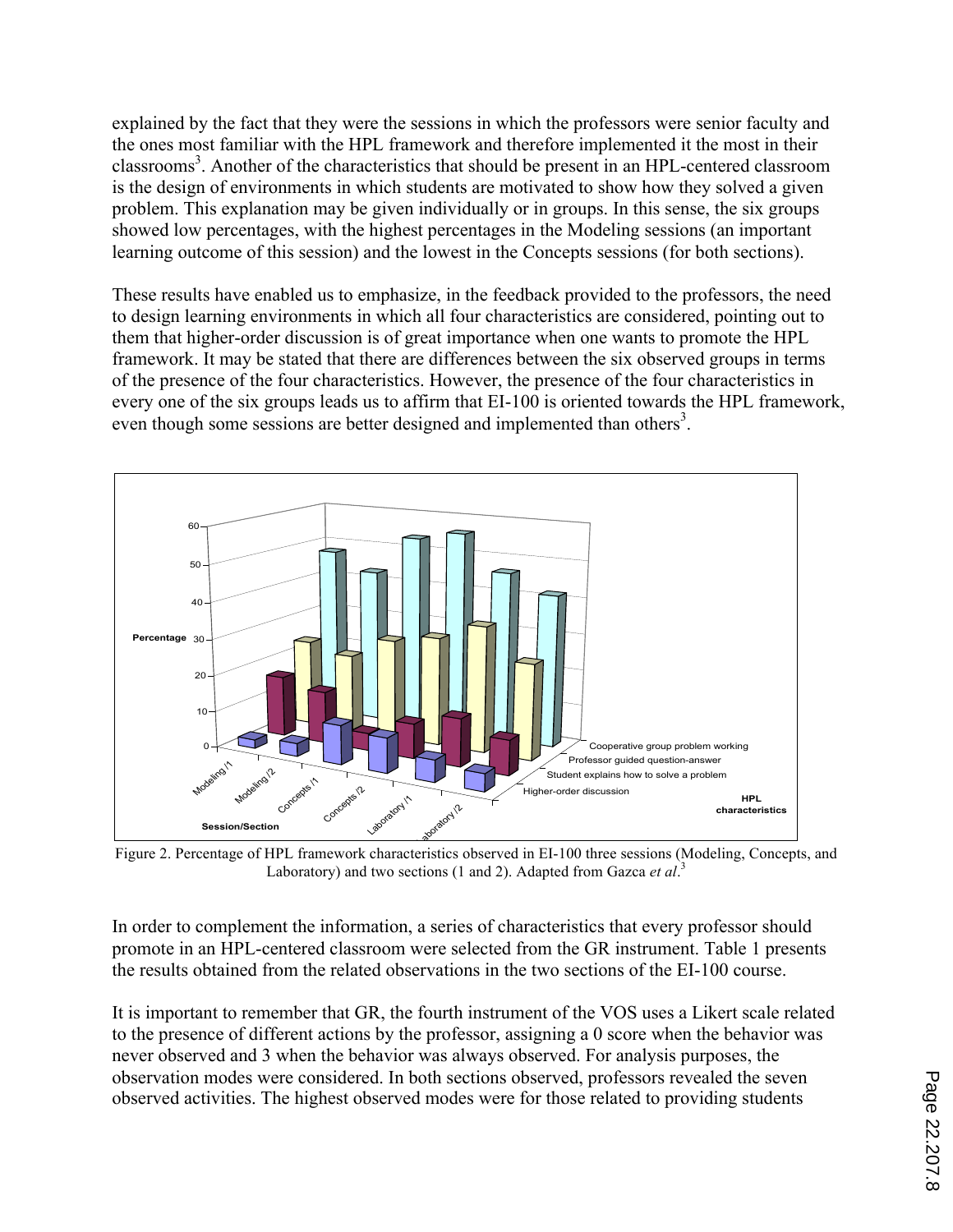explained by the fact that they were the sessions in which the professors were senior faculty and the ones most familiar with the HPL framework and therefore implemented it the most in their classrooms<sup>3</sup>. Another of the characteristics that should be present in an HPL-centered classroom is the design of environments in which students are motivated to show how they solved a given problem. This explanation may be given individually or in groups. In this sense, the six groups showed low percentages, with the highest percentages in the Modeling sessions (an important learning outcome of this session) and the lowest in the Concepts sessions (for both sections).

These results have enabled us to emphasize, in the feedback provided to the professors, the need to design learning environments in which all four characteristics are considered, pointing out to them that higher-order discussion is of great importance when one wants to promote the HPL framework. It may be stated that there are differences between the six observed groups in terms of the presence of the four characteristics. However, the presence of the four characteristics in every one of the six groups leads us to affirm that EI-100 is oriented towards the HPL framework, even though some sessions are better designed and implemented than others<sup>3</sup>.



Figure 2 PPercentage Tond Planitume work characteristics observed in 164-400 three sessions (Modeling, Concepts, and sessions (Modeling, Concepts and Laboratory) in sections 1 and 2.<br> **Laboratory) and two sections (1 and 2). Adapted from Gazca** *et al***.<sup>3</sup>** 

In order to complement the information, a series of characteristics that every professor should promote in an HPL-centered classroom were selected from the GR instrument. Table 1 presents the results obtained from the related observations in the two sections of the EI-100 course.

It is important to remember that GR, the fourth instrument of the VOS uses a Likert scale related to the presence of different actions by the professor, assigning a 0 score when the behavior was never observed and 3 when the behavior was always observed. For analysis purposes, the observation modes were considered. In both sections observed, professors revealed the seven observed activities. The highest observed modes were for those related to providing students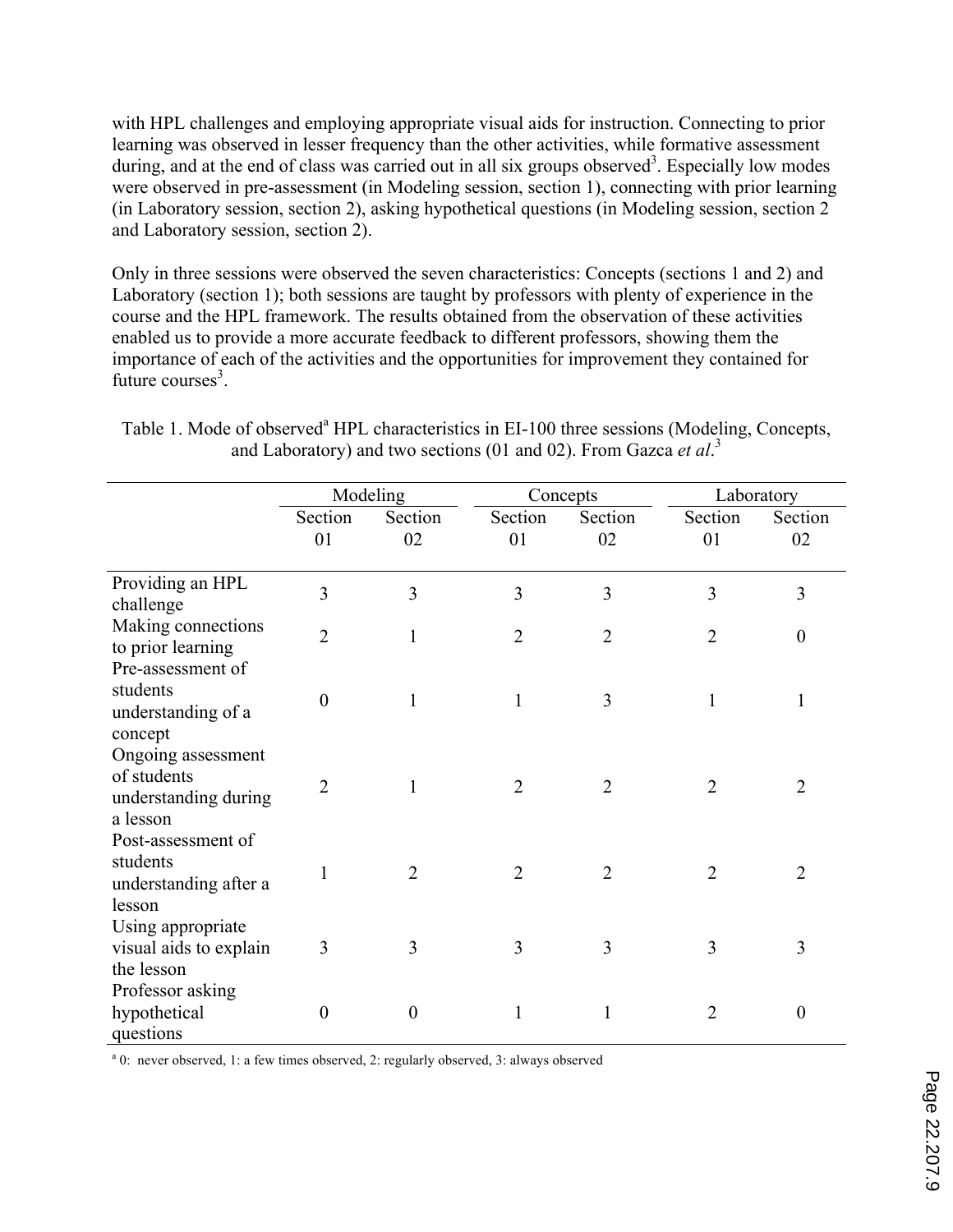with HPL challenges and employing appropriate visual aids for instruction. Connecting to prior learning was observed in lesser frequency than the other activities, while formative assessment during, and at the end of class was carried out in all six groups observed<sup>3</sup>. Especially low modes were observed in pre-assessment (in Modeling session, section 1), connecting with prior learning (in Laboratory session, section 2), asking hypothetical questions (in Modeling session, section 2 and Laboratory session, section 2).

Only in three sessions were observed the seven characteristics: Concepts (sections 1 and 2) and Laboratory (section 1); both sessions are taught by professors with plenty of experience in the course and the HPL framework. The results obtained from the observation of these activities enabled us to provide a more accurate feedback to different professors, showing them the importance of each of the activities and the opportunities for improvement they contained for future courses $3$ .

|                                                                       | Modeling       |                |                | Concepts       | Laboratory     |                  |
|-----------------------------------------------------------------------|----------------|----------------|----------------|----------------|----------------|------------------|
|                                                                       | Section<br>01  | Section<br>02  | Section<br>01  | Section<br>02  | Section<br>01  | Section<br>02    |
| Providing an HPL<br>challenge                                         | 3              | 3              | $\overline{3}$ | $\overline{3}$ | 3              | 3                |
| Making connections<br>to prior learning                               | $\overline{2}$ | $\mathbf{1}$   | $\overline{2}$ | $\overline{2}$ | $\overline{2}$ | $\theta$         |
| Pre-assessment of<br>students<br>understanding of a<br>concept        | $\theta$       | 1              | 1              | 3              |                | 1                |
| Ongoing assessment<br>of students<br>understanding during<br>a lesson | $\overline{2}$ | 1              | $\overline{2}$ | $\overline{2}$ | $\overline{2}$ | 2                |
| Post-assessment of<br>students<br>understanding after a<br>lesson     | 1              | $\overline{2}$ | $\overline{2}$ | $\overline{2}$ | $\overline{2}$ | $\overline{2}$   |
| Using appropriate<br>visual aids to explain<br>the lesson             | 3              | 3              | 3              | 3              | 3              | 3                |
| Professor asking<br>hypothetical<br>questions                         | $\theta$       | $\overline{0}$ | 1              | 1              | $\overline{2}$ | $\boldsymbol{0}$ |

Table 1. Mode of observed<sup>a</sup> HPL characteristics in EI-100 three sessions (Modeling, Concepts, and Laboratory) and two sections (01 and 02). From Gazca *et al*. 3

<sup>a</sup> 0: never observed, 1: a few times observed, 2: regularly observed, 3: always observed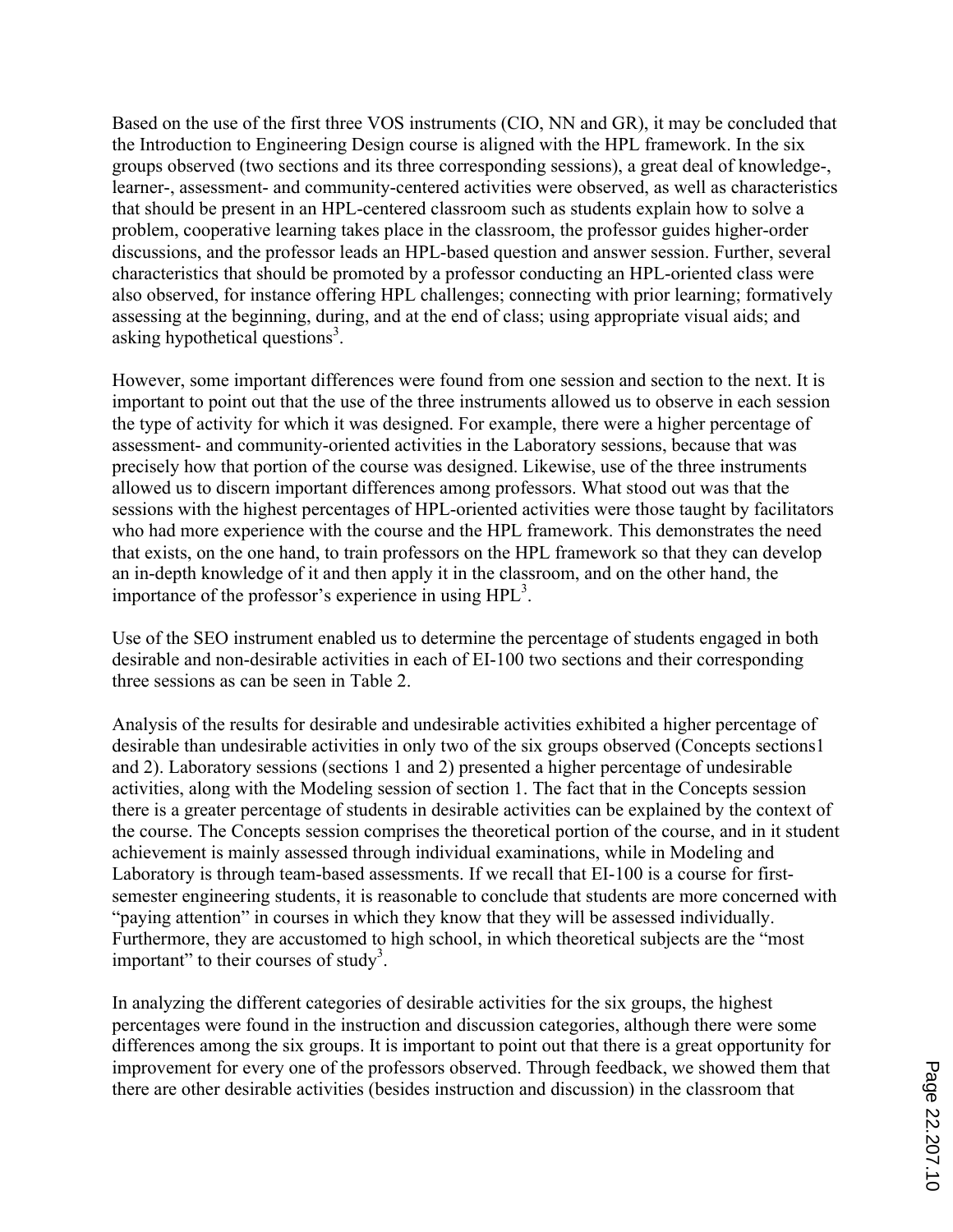Based on the use of the first three VOS instruments (CIO, NN and GR), it may be concluded that the Introduction to Engineering Design course is aligned with the HPL framework. In the six groups observed (two sections and its three corresponding sessions), a great deal of knowledge-, learner-, assessment- and community-centered activities were observed, as well as characteristics that should be present in an HPL-centered classroom such as students explain how to solve a problem, cooperative learning takes place in the classroom, the professor guides higher-order discussions, and the professor leads an HPL-based question and answer session. Further, several characteristics that should be promoted by a professor conducting an HPL-oriented class were also observed, for instance offering HPL challenges; connecting with prior learning; formatively assessing at the beginning, during, and at the end of class; using appropriate visual aids; and asking hypothetical questions<sup>3</sup>.

However, some important differences were found from one session and section to the next. It is important to point out that the use of the three instruments allowed us to observe in each session the type of activity for which it was designed. For example, there were a higher percentage of assessment- and community-oriented activities in the Laboratory sessions, because that was precisely how that portion of the course was designed. Likewise, use of the three instruments allowed us to discern important differences among professors. What stood out was that the sessions with the highest percentages of HPL-oriented activities were those taught by facilitators who had more experience with the course and the HPL framework. This demonstrates the need that exists, on the one hand, to train professors on the HPL framework so that they can develop an in-depth knowledge of it and then apply it in the classroom, and on the other hand, the importance of the professor's experience in using HPL<sup>3</sup>.

Use of the SEO instrument enabled us to determine the percentage of students engaged in both desirable and non-desirable activities in each of EI-100 two sections and their corresponding three sessions as can be seen in Table 2.

Analysis of the results for desirable and undesirable activities exhibited a higher percentage of desirable than undesirable activities in only two of the six groups observed (Concepts sections1 and 2). Laboratory sessions (sections 1 and 2) presented a higher percentage of undesirable activities, along with the Modeling session of section 1. The fact that in the Concepts session there is a greater percentage of students in desirable activities can be explained by the context of the course. The Concepts session comprises the theoretical portion of the course, and in it student achievement is mainly assessed through individual examinations, while in Modeling and Laboratory is through team-based assessments. If we recall that EI-100 is a course for firstsemester engineering students, it is reasonable to conclude that students are more concerned with "paying attention" in courses in which they know that they will be assessed individually. Furthermore, they are accustomed to high school, in which theoretical subjects are the "most important" to their courses of study<sup>3</sup>.

In analyzing the different categories of desirable activities for the six groups, the highest percentages were found in the instruction and discussion categories, although there were some differences among the six groups. It is important to point out that there is a great opportunity for improvement for every one of the professors observed. Through feedback, we showed them that there are other desirable activities (besides instruction and discussion) in the classroom that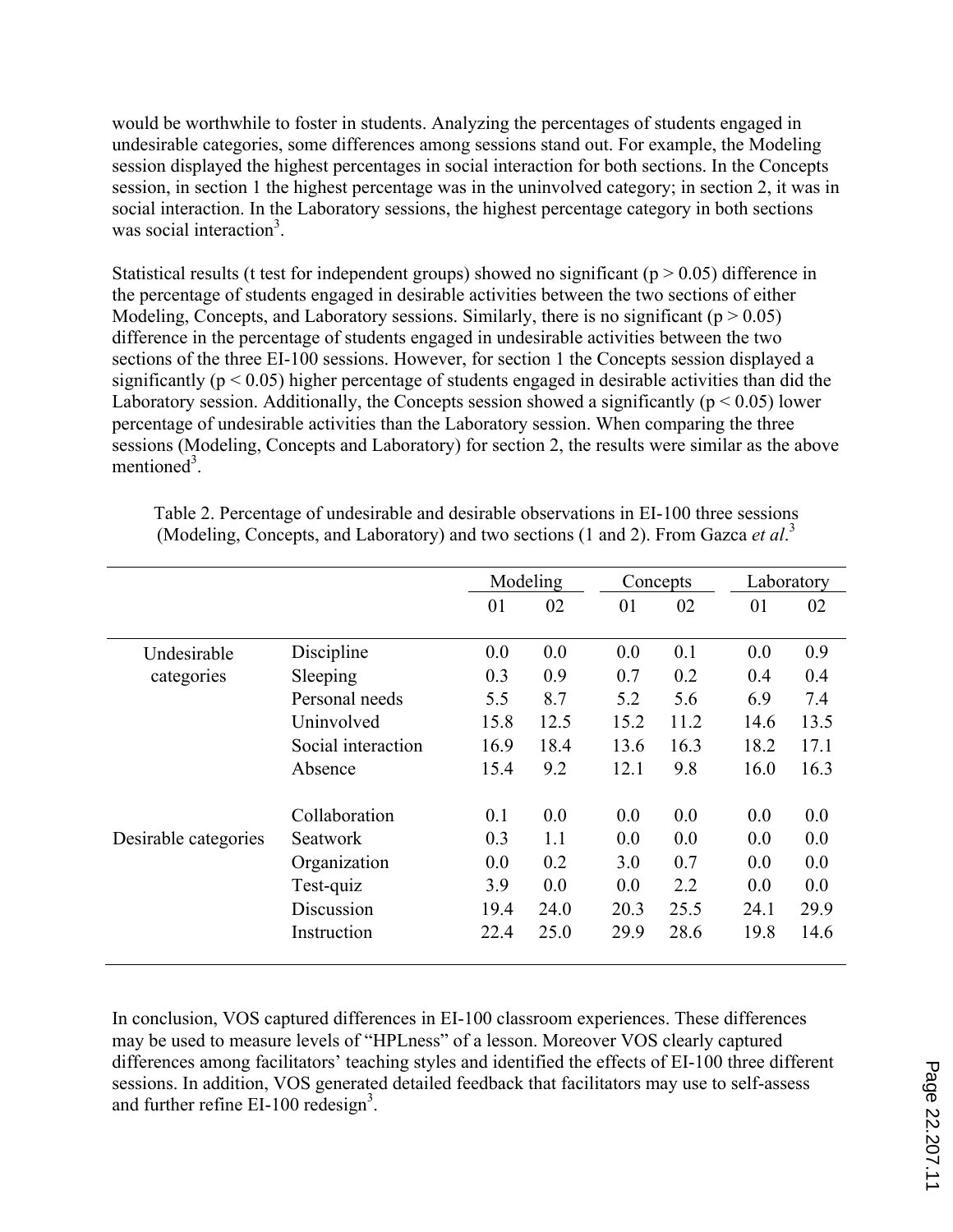would be worthwhile to foster in students. Analyzing the percentages of students engaged in undesirable categories, some differences among sessions stand out. For example, the Modeling session displayed the highest percentages in social interaction for both sections. In the Concepts session, in section 1 the highest percentage was in the uninvolved category; in section 2, it was in social interaction. In the Laboratory sessions, the highest percentage category in both sections was social interaction<sup>3</sup>.

Statistical results (t test for independent groups) showed no significant ( $p > 0.05$ ) difference in the percentage of students engaged in desirable activities between the two sections of either Modeling, Concepts, and Laboratory sessions. Similarly, there is no significant ( $p > 0.05$ ) difference in the percentage of students engaged in undesirable activities between the two sections of the three EI-100 sessions. However, for section 1 the Concepts session displayed a significantly ( $p < 0.05$ ) higher percentage of students engaged in desirable activities than did the Laboratory session. Additionally, the Concepts session showed a significantly ( $p < 0.05$ ) lower percentage of undesirable activities than the Laboratory session. When comparing the three sessions (Modeling, Concepts and Laboratory) for section 2, the results were similar as the above mentioned<sup>3</sup>.

|                      |                    |      | Modeling |      | Concepts |      | Laboratory |  |
|----------------------|--------------------|------|----------|------|----------|------|------------|--|
|                      |                    | 01   | 02       | 01   | 02       | 01   | 02         |  |
| Undesirable          | Discipline         | 0.0  | 0.0      | 0.0  | 0.1      | 0.0  | 0.9        |  |
| categories           | Sleeping           | 0.3  | 0.9      | 0.7  | 0.2      | 0.4  | 0.4        |  |
|                      | Personal needs     | 5.5  | 8.7      | 5.2  | 5.6      | 6.9  | 7.4        |  |
|                      | Uninvolved         | 15.8 | 12.5     | 15.2 | 11.2     | 14.6 | 13.5       |  |
|                      | Social interaction | 16.9 | 18.4     | 13.6 | 16.3     | 18.2 | 17.1       |  |
|                      | Absence            | 15.4 | 9.2      | 12.1 | 9.8      | 16.0 | 16.3       |  |
|                      | Collaboration      | 0.1  | 0.0      | 0.0  | 0.0      | 0.0  | 0.0        |  |
| Desirable categories | <b>Seatwork</b>    | 0.3  | 1.1      | 0.0  | 0.0      | 0.0  | 0.0        |  |
|                      | Organization       | 0.0  | 0.2      | 3.0  | 0.7      | 0.0  | 0.0        |  |
|                      | Test-quiz          | 3.9  | 0.0      | 0.0  | 2.2      | 0.0  | 0.0        |  |
|                      | Discussion         | 19.4 | 24.0     | 20.3 | 25.5     | 24.1 | 29.9       |  |
|                      | Instruction        | 22.4 | 25.0     | 29.9 | 28.6     | 19.8 | 14.6       |  |

Table 2. Percentage of undesirable and desirable observations in EI-100 three sessions (Modeling, Concepts, and Laboratory) and two sections (1 and 2). From Gazca *et al*. 3

In conclusion, VOS captured differences in EI-100 classroom experiences. These differences may be used to measure levels of "HPLness" of a lesson. Moreover VOS clearly captured differences among facilitators' teaching styles and identified the effects of EI-100 three different sessions. In addition, VOS generated detailed feedback that facilitators may use to self-assess and further refine EI-100 redesign<sup>3</sup>.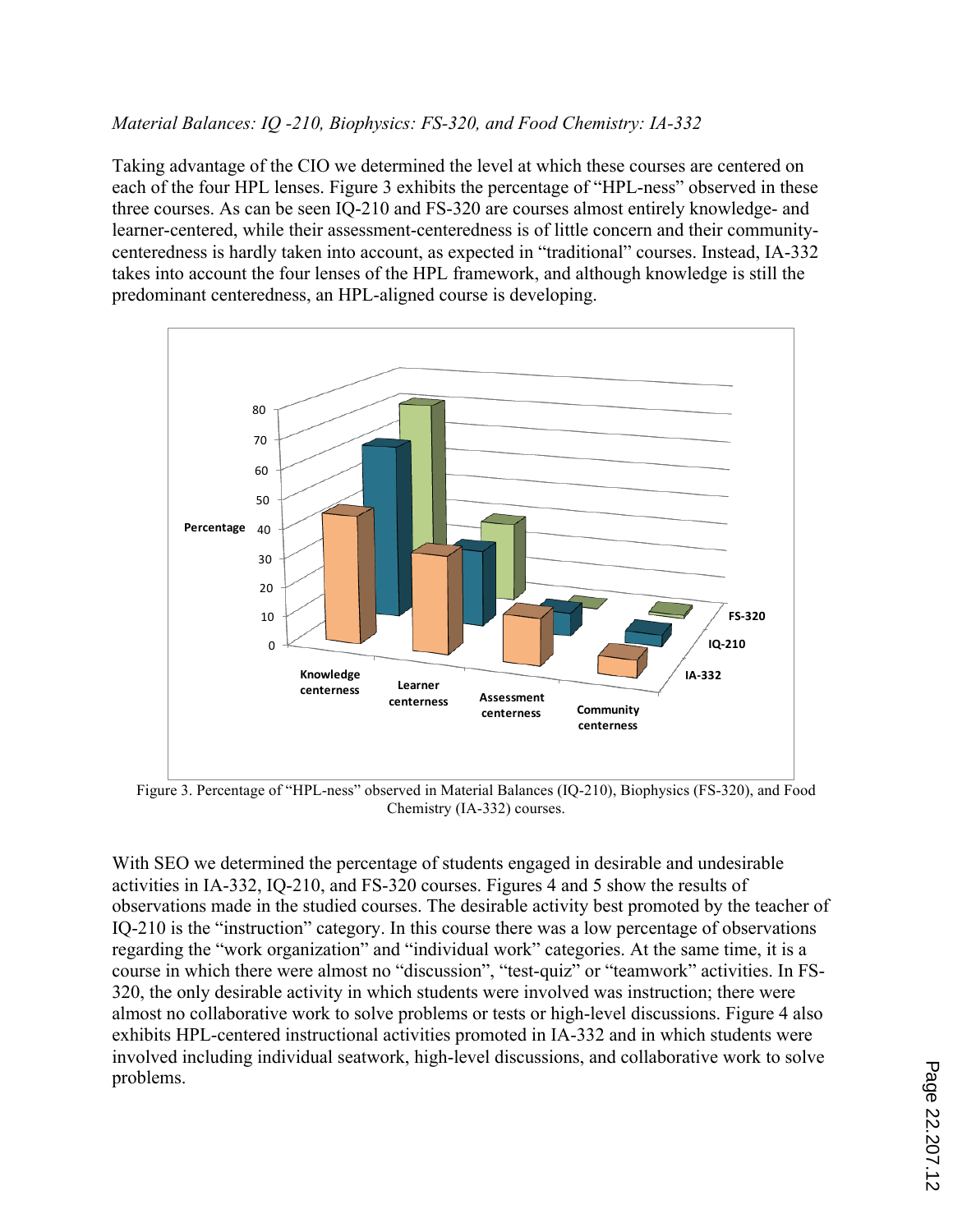# *Material Balances: IQ -210, Biophysics: FS-320, and Food Chemistry: IA-332*

Taking advantage of the CIO we determined the level at which these courses are centered on each of the four HPL lenses. Figure 3 exhibits the percentage of "HPL-ness" observed in these three courses. As can be seen IQ-210 and FS-320 are courses almost entirely knowledge- and learner-centered, while their assessment-centeredness is of little concern and their communitycenteredness is hardly taken into account, as expected in "traditional" courses. Instead, IA-332 takes into account the four lenses of the HPL framework, and although knowledge is still the predominant centeredness, an HPL-aligned course is developing.



Figure 3. Percentage of "HPL-ness" observed in Material Balances (IQ-210), Biophysics (FS-320), and Food Chemistry (IA-332) courses.

With SEO we determined the percentage of students engaged in desirable and undesirable activities in IA-332, IQ-210, and FS-320 courses. Figures 4 and 5 show the results of observations made in the studied courses. The desirable activity best promoted by the teacher of IQ-210 is the "instruction" category. In this course there was a low percentage of observations regarding the "work organization" and "individual work" categories. At the same time, it is a course in which there were almost no "discussion", "test-quiz" or "teamwork" activities. In FS-320, the only desirable activity in which students were involved was instruction; there were almost no collaborative work to solve problems or tests or high-level discussions. Figure 4 also exhibits HPL-centered instructional activities promoted in IA-332 and in which students were involved including individual seatwork, high-level discussions, and collaborative work to solve problems.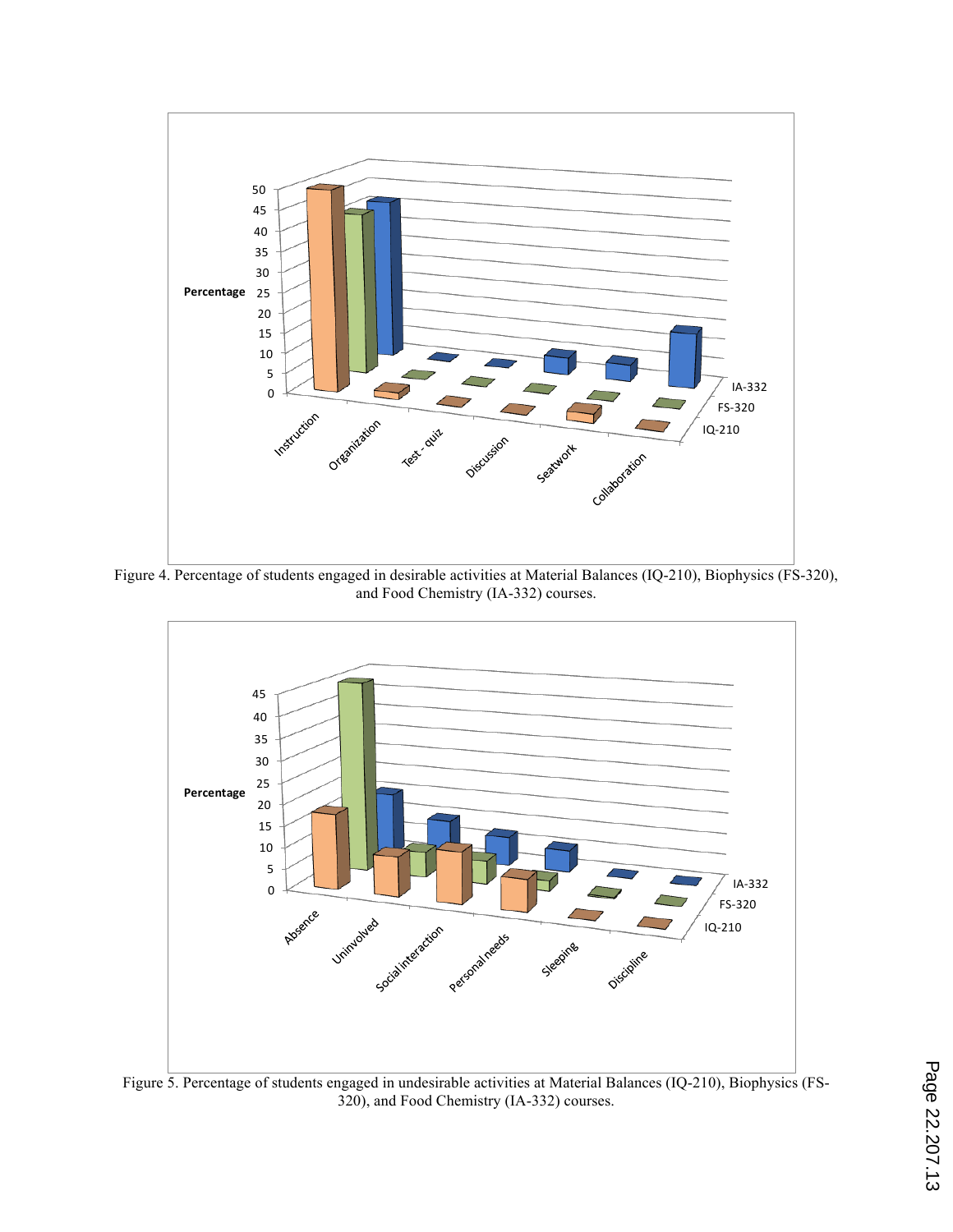

Figure 4. Percentage of students engaged in desirable activities at Material Balances (IQ-210), Biophysics (FS-320), and Food Chemistry (IA-332) courses.



Figure 5. Percentage of students engaged in undesirable activities at Material Balances (IQ-210), Biophysics (FS-320), and Food Chemistry (IA-332) courses.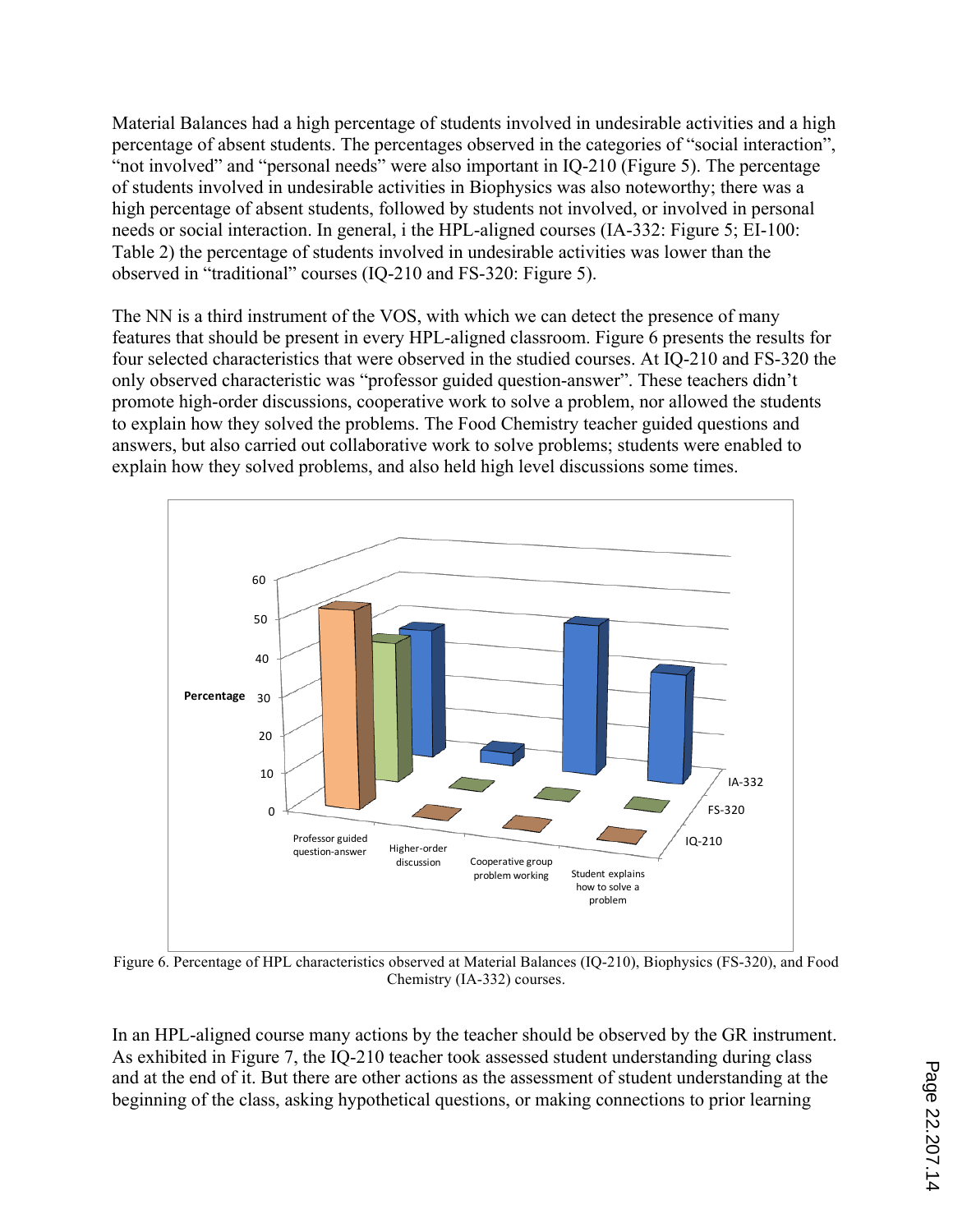Material Balances had a high percentage of students involved in undesirable activities and a high percentage of absent students. The percentages observed in the categories of "social interaction", "not involved" and "personal needs" were also important in IQ-210 (Figure 5). The percentage of students involved in undesirable activities in Biophysics was also noteworthy; there was a high percentage of absent students, followed by students not involved, or involved in personal needs or social interaction. In general, i the HPL-aligned courses (IA-332: Figure 5; EI-100: Table 2) the percentage of students involved in undesirable activities was lower than the observed in "traditional" courses (IQ-210 and FS-320: Figure 5).

The NN is a third instrument of the VOS, with which we can detect the presence of many features that should be present in every HPL-aligned classroom. Figure 6 presents the results for four selected characteristics that were observed in the studied courses. At IQ-210 and FS-320 the only observed characteristic was "professor guided question-answer". These teachers didn't promote high-order discussions, cooperative work to solve a problem, nor allowed the students to explain how they solved the problems. The Food Chemistry teacher guided questions and answers, but also carried out collaborative work to solve problems; students were enabled to explain how they solved problems, and also held high level discussions some times.



Figure 6. Percentage of HPL characteristics observed at Material Balances (IQ-210), Biophysics (FS-320), and Food Chemistry (IA-332) courses.

In an HPL-aligned course many actions by the teacher should be observed by the GR instrument. As exhibited in Figure 7, the IQ-210 teacher took assessed student understanding during class and at the end of it. But there are other actions as the assessment of student understanding at the beginning of the class, asking hypothetical questions, or making connections to prior learning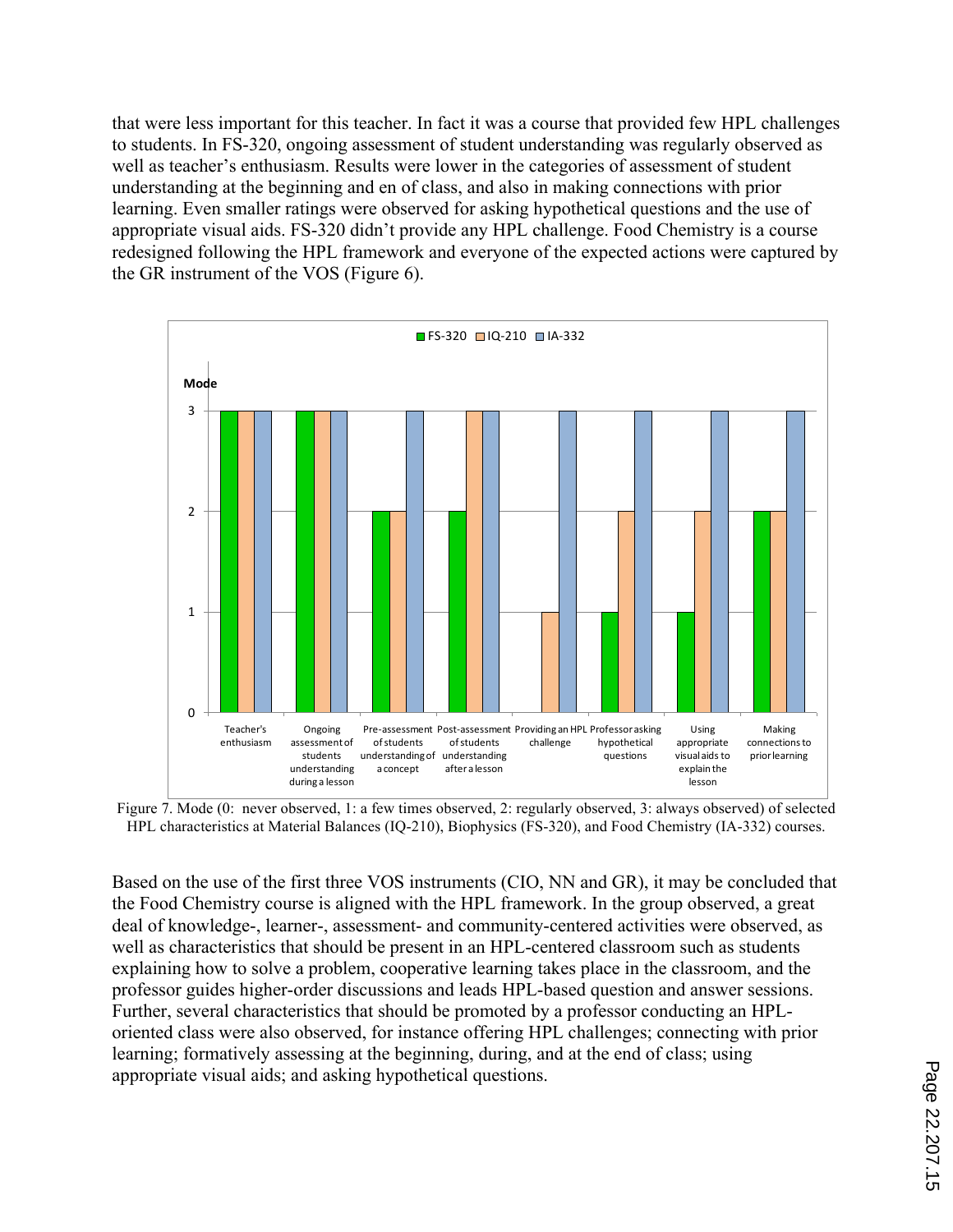that were less important for this teacher. In fact it was a course that provided few HPL challenges to students. In FS-320, ongoing assessment of student understanding was regularly observed as well as teacher's enthusiasm. Results were lower in the categories of assessment of student understanding at the beginning and en of class, and also in making connections with prior learning. Even smaller ratings were observed for asking hypothetical questions and the use of appropriate visual aids. FS-320 didn't provide any HPL challenge. Food Chemistry is a course redesigned following the HPL framework and everyone of the expected actions were captured by the GR instrument of the VOS (Figure 6).



Figure 7. Mode (0: never observed, 1: a few times observed, 2: regularly observed, 3: always observed) of selected HPL characteristics at Material Balances (IQ-210), Biophysics (FS-320), and Food Chemistry (IA-332) courses.

Based on the use of the first three VOS instruments (CIO, NN and GR), it may be concluded that the Food Chemistry course is aligned with the HPL framework. In the group observed, a great deal of knowledge-, learner-, assessment- and community-centered activities were observed, as well as characteristics that should be present in an HPL-centered classroom such as students explaining how to solve a problem, cooperative learning takes place in the classroom, and the professor guides higher-order discussions and leads HPL-based question and answer sessions. Further, several characteristics that should be promoted by a professor conducting an HPLoriented class were also observed, for instance offering HPL challenges; connecting with prior learning; formatively assessing at the beginning, during, and at the end of class; using appropriate visual aids; and asking hypothetical questions.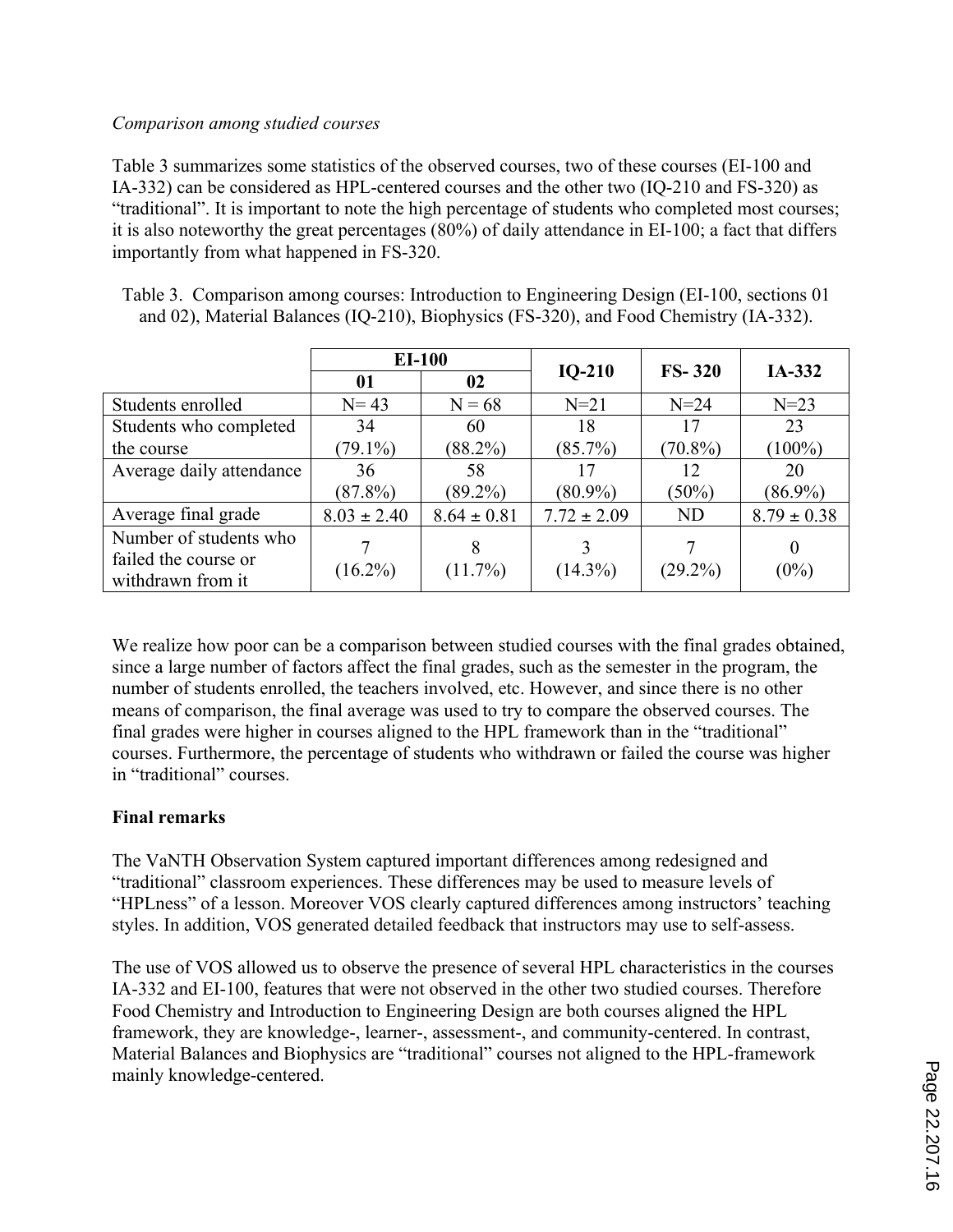## *Comparison among studied courses*

Table 3 summarizes some statistics of the observed courses, two of these courses (EI-100 and IA-332) can be considered as HPL-centered courses and the other two (IQ-210 and FS-320) as "traditional". It is important to note the high percentage of students who completed most courses; it is also noteworthy the great percentages (80%) of daily attendance in EI-100; a fact that differs importantly from what happened in FS-320.

|                          | <b>EI-100</b>   |                 | $IO-210$        | $FS-320$   | IA-332          |  |
|--------------------------|-----------------|-----------------|-----------------|------------|-----------------|--|
|                          | 01              | 02              |                 |            |                 |  |
| Students enrolled        | $N = 43$        | $N = 68$        | $N=21$          | $N=24$     | $N = 23$        |  |
| Students who completed   | 34              | 60              | 18              | 17         | 23              |  |
| the course               | $(79.1\%)$      | $(88.2\%)$      | $(85.7\%)$      | $(70.8\%)$ | $(100\%)$       |  |
| Average daily attendance | 36              | 58              | 17              | 12         | 20              |  |
|                          | $(87.8\%)$      | $(89.2\%)$      | $(80.9\%)$      | $(50\%)$   | $(86.9\%)$      |  |
| Average final grade      | $8.03 \pm 2.40$ | $8.64 \pm 0.81$ | $7.72 \pm 2.09$ | <b>ND</b>  | $8.79 \pm 0.38$ |  |
| Number of students who   |                 | 8               | 3               |            | $\theta$        |  |
| failed the course or     | $(16.2\%)$      | $(11.7\%)$      | $(14.3\%)$      | $(29.2\%)$ |                 |  |
| withdrawn from it        |                 |                 |                 |            | $(0\%)$         |  |

Table 3. Comparison among courses: Introduction to Engineering Design (EI-100, sections 01 and 02), Material Balances (IQ-210), Biophysics (FS-320), and Food Chemistry (IA-332).

We realize how poor can be a comparison between studied courses with the final grades obtained, since a large number of factors affect the final grades, such as the semester in the program, the number of students enrolled, the teachers involved, etc. However, and since there is no other means of comparison, the final average was used to try to compare the observed courses. The final grades were higher in courses aligned to the HPL framework than in the "traditional" courses. Furthermore, the percentage of students who withdrawn or failed the course was higher in "traditional" courses.

## **Final remarks**

The VaNTH Observation System captured important differences among redesigned and "traditional" classroom experiences. These differences may be used to measure levels of "HPLness" of a lesson. Moreover VOS clearly captured differences among instructors' teaching styles. In addition, VOS generated detailed feedback that instructors may use to self-assess.

The use of VOS allowed us to observe the presence of several HPL characteristics in the courses IA-332 and EI-100, features that were not observed in the other two studied courses. Therefore Food Chemistry and Introduction to Engineering Design are both courses aligned the HPL framework, they are knowledge-, learner-, assessment-, and community-centered. In contrast, Material Balances and Biophysics are "traditional" courses not aligned to the HPL-framework mainly knowledge-centered.